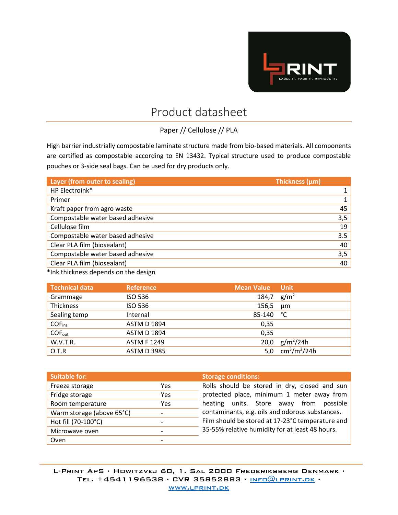

## Product datasheet

Paper // Cellulose // PLA

High barrier industrially compostable laminate structure made from bio-based materials. All components are certified as compostable according to EN 13432. Typical structure used to produce compostable pouches or 3-side seal bags. Can be used for dry products only.

| Layer (from outer to sealing)    | Thickness (µm) |
|----------------------------------|----------------|
| HP Electroink*                   |                |
| Primer                           |                |
| Kraft paper from agro waste      | 45             |
| Compostable water based adhesive | 3,5            |
| Cellulose film                   | 19             |
| Compostable water based adhesive | 3.5            |
| Clear PLA film (biosealant)      | 40             |
| Compostable water based adhesive | 3,5            |
| Clear PLA film (biosealant)      | 40             |

\*Ink thickness depends on the design

| <b>Technical data</b> | <b>Reference</b>   | <b>Mean Value</b> | <b>Unit</b>        |
|-----------------------|--------------------|-------------------|--------------------|
| Grammage              | <b>ISO 536</b>     | 184,7             | g/m <sup>2</sup>   |
| Thickness             | <b>ISO 536</b>     | 156,5             | µm                 |
| Sealing temp          | Internal           | 85-140            | ℃                  |
| <b>COF</b> ins        | <b>ASTM D 1894</b> | 0,35              |                    |
| $COF_{out}$           | <b>ASTM D 1894</b> | 0,35              |                    |
| W.V.T.R.              | <b>ASTM F 1249</b> | 20,0              | $g/m^2/24h$        |
| O.T.R                 | <b>ASTM D 3985</b> | 5.0               | $cm^{3}/m^{2}/24h$ |

| <b>Suitable for:</b>      |                          | <b>Storage conditions:</b>                       |  |
|---------------------------|--------------------------|--------------------------------------------------|--|
| Freeze storage            | Yes                      | Rolls should be stored in dry, closed and sun    |  |
| Fridge storage            | Yes                      | protected place, minimum 1 meter away from       |  |
| Room temperature          | Yes                      | units. Store away from possible<br>heating       |  |
| Warm storage (above 65°C) | $\overline{\phantom{0}}$ | contaminants, e.g. oils and odorous substances.  |  |
| Hot fill (70-100°C)       |                          | Film should be stored at 17-23°C temperature and |  |
| Microwave oven            |                          | 35-55% relative humidity for at least 48 hours.  |  |
| Oven                      | -                        |                                                  |  |

L-Print ApS ∙ Howitzvej 60, 1. Sal 2000 Frederiksberg Denmark ∙ TEL. +4541196538 ⋅ CVR 35852883 ⋅ INFO@LPRINT.DK ⋅ [www.lprint.dk](http://www.lprint.dk/)